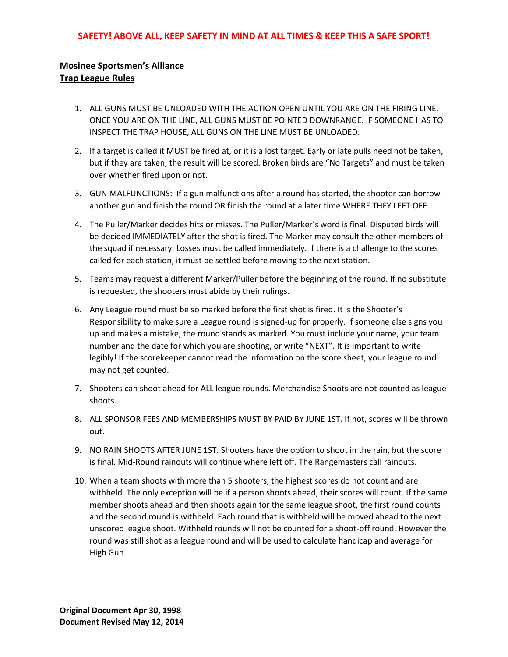## **Mosinee Sportsmen's Alliance Trap League Rules**

- 1. ALL GUNS MUST BE UNLOADED WITH THE ACTION OPEN UNTIL YOU ARE ON THE FIRING LINE. ONCE YOU ARE ON THE LINE, ALL GUNS MUST BE POINTED DOWNRANGE. IF SOMEONE HAS TO INSPECT THE TRAP HOUSE, ALL GUNS ON THE LINE MUST BE UNLOADED.
- 2. If a target is called it MUST be fired at, or it is a lost target. Early or late pulls need not be taken, but if they are taken, the result will be scored. Broken birds are "No Targets" and must be taken over whether fired upon or not.
- 3. GUN MALFUNCTIONS: If a gun malfunctions after a round has started, the shooter can borrow another gun and finish the round OR finish the round at a later time WHERE THEY LEFT OFF.
- 4. The Puller/Marker decides hits or misses. The Puller/Marker's word is final. Disputed birds will be decided IMMEDIATELY after the shot is fired. The Marker may consult the other members of the squad if necessary. Losses must be called immediately. If there is a challenge to the scores called for each station, it must be settled before moving to the next station.
- 5. Teams may request a different Marker/Puller before the beginning of the round. If no substitute is requested, the shooters must abide by their rulings.
- 6. Any League round must be so marked before the first shot is fired. It is the Shooter's Responsibility to make sure a League round is signed-up for properly. If someone else signs you up and makes a mistake, the round stands as marked. You must include your name, your team number and the date for which you are shooting, or write "NEXT". It is important to write legibly! If the scorekeeper cannot read the information on the score sheet, your league round may not get counted.
- 7. Shooters can shoot ahead for ALL league rounds. Merchandise Shoots are not counted as league shoots.
- 8. ALL SPONSOR FEES AND MEMBERSHIPS MUST BY PAID BY JUNE 1ST. If not, scores will be thrown out.
- 9. NO RAIN SHOOTS AFTER JUNE 1ST. Shooters have the option to shoot in the rain, but the score is final. Mid-Round rainouts will continue where left off. The Rangemasters call rainouts.
- 10. When a team shoots with more than 5 shooters, the highest scores do not count and are withheld. The only exception will be if a person shoots ahead, their scores will count. If the same member shoots ahead and then shoots again for the same league shoot, the first round counts and the second round is withheld. Each round that is withheld will be moved ahead to the next unscored league shoot. Withheld rounds will not be counted for a shoot-off round. However the round was still shot as a league round and will be used to calculate handicap and average for High Gun.